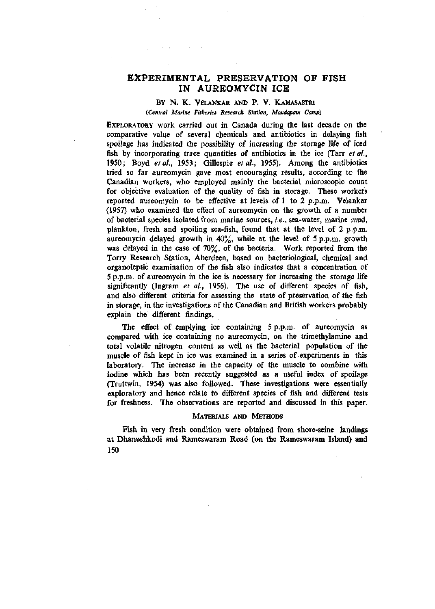# **EXPERIMENTAL PRESERVATION OF FISH IN AUREOMYCIN ICE**

# BY N. K. VELANKAR AND P. V. KAMASASTRI *[Central Marine Fisheries Research Station, Mandapam Camp)*

EXPLORATORY work carried out in Canada during the last decade on the comparative value of several chemicals and antibiotics in delaying fish spoilage has indicated the possibility of increasing the storage life of iced fish by incorporating trace quantities of antibiotics in the ice (Tarr *et al,*  1950; Boyd *etal,* 1953; Gillespie *et al,* 1955). Among the antibiotics tried so far aureomycin gave most encouraging results, according to the Canadian workers, who employed mainly the bacterial microscopic count for objective evaluation of the quality of fish in storage. These workers reported aureomycin to be effective at levels of 1 to 2 p.p.m. Velankar (1957) who examined the effect of aureomycin on the growth of a number of bacterial species isolated from marine sources, *i.e.,* sea-water, marine mud, plankton, fresh and spoiling sea-fish, found that at the level of 2 p.p.m. aureomycin delayed growth in  $40\%$ , while at the level of 5 p.p.m. growth was delayed in the case of 70%, of the bacteria. Work reported from the Torry Research Station, Aberdeen, based on bacteriological, chemical and organoleptic examination of the fish also indicates that a concentration of 5 p.p.m. of aureomycin in the ice is necessary for increasing the storage life significantly (Ingram *et al.,* 1956). The use of different species of fish, and also different criteria for assessing the state of preservation of the fish in storage, in the investigations of the Canadian and British workers probably explain the different findings.

The effect of emplying ice containing 5 p.p.m. of aureomycin as compared with ice containing no aureomycin, on the trimethylamine and total volatile nitrogen content as well as the bacterial population of the muscle of fish kept in ice was examined in a series of experiments in this laboratory. The increase in the capacity of the muscle to combine with iodine which has been recently suggested as a useful index of spoilage (Truttwin, 1954) was also followed. These investigations were essentially exploratory and hence relate to different species of fish and different tests for freshness. The observations are reported and discussed in this paper.

#### MATERIALS AND METHODS

Fish in very fresh condition were obtained from shore-seine landings at Dhanushkodi and Rameswaram Road (on the Rameswaram Island) and 150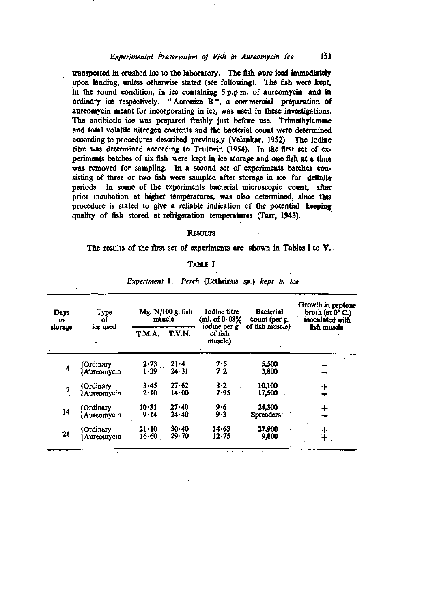# *Experimental Preservation of Fish in Aureomycin Ice* 151

transported in crushed ice to the laboratory. The fish were iced immediately upon landing, unless otherwise stated (see following). The fish were kept, in the round condition, in ice containing 5 p.p.m. of aureomycin and in ordinary ice respectively. "Acronize B", a commercial preparation of aureomycin meant for incorporating in ice, was used in these investigatioas. The antibiotic ice was prepared freshly just before use. Trimethylamine and total volatile nitrogen contents and the bacterial count were determined according to procedures described previously (Velankar, 1952). The iodine titre was determined according to Truttwin (1954). In the first set of experiments batches of six fish were kept in ice storage and one fish at a time was removed for sampling. In a second set of experiments batches consisting of three or two fish were sampled after storage in ice for definite periods. In some of the experiments bacterial microscopic count, after prior incubation at higher temperatures, was also determined, since this procedure is stated to give a reliable indication of the potential keeping quality of fish stored at refrigeration temperatures (Tarr, 1943).

## **RESULTS**

The results of the first set of experiments are shown in Tables I to V.

#### TABLE I

| Days<br>in.<br>storage | Type<br>-of             | Mg. $N/100$ g. fish<br>muscle |                    | Iodine titre<br>(ml. of $0.08\%$ | <b>Bacterial</b><br>count (per g. | Growth in peptone<br>broth (at $0^{\circ}$ C.)<br>inoculated with |  |
|------------------------|-------------------------|-------------------------------|--------------------|----------------------------------|-----------------------------------|-------------------------------------------------------------------|--|
|                        | ice used                | T.M.A.                        | T.V.N.             | of fish<br>muscle)               | iodine per g. of fish muscle)     | fish muscle                                                       |  |
| 4                      | Ordinary<br>Aureomycin  | $2.73 - 1.39$                 | $21 - 4$<br>24.31  | $7.5$<br>$7.2$                   | 5,500<br>3,800                    |                                                                   |  |
| 7                      | Ordinary<br>Aureomycin  | 3.45<br>$2 - 10$              | 27.62<br>14.00     | 8.2<br>7.95                      | 10,100<br>17,500                  |                                                                   |  |
| 14                     | Ordinary<br>Aureomycin  | 10.31<br>9.14                 | $27 - 40$<br>24.40 | 9.6<br>9.3                       | 24,300<br><b>Spreaders</b>        |                                                                   |  |
| 21                     | (Ordinary<br>Aureomycin | $21 - 10$<br>16.60            | 30.40<br>$29 - 70$ | 14.63<br>12.75                   | 27,900<br>9,800                   |                                                                   |  |

*Experiment 1. Perch* (Lethrinus *sp.) kept in ice*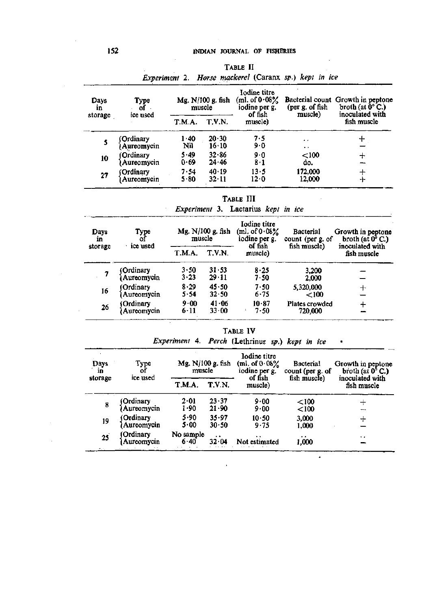| Days<br>in<br>storage | Type<br>of              |              | Mg. N/100 g. fish<br>muscle | Iodine titre<br>(ml. of $0.08\%$<br>iodine per g.<br>of fish | (per g. of fish<br>muscle)        | Bacterial count Growth in peptone<br>broth (at $\bar{0}^{\circ}$ C.)<br>inoculated with |  |
|-----------------------|-------------------------|--------------|-----------------------------|--------------------------------------------------------------|-----------------------------------|-----------------------------------------------------------------------------------------|--|
|                       | ice used                | T.M.A.       | <b>T.V.N.</b>               | muscle)                                                      |                                   | fish muscle                                                                             |  |
|                       | Ordinary<br>Aureomycin  | 1.40<br>Nil  | 20.30<br>$16 \cdot 10$      | 7.5<br>$9-0$                                                 | $\bullet$<br>$\ddot{\phantom{1}}$ |                                                                                         |  |
| 10                    | (Ordinary<br>Aureomycin | 5.49<br>0.69 | 32.86<br>24.46              | 9∙0<br>8.1                                                   | $<$ 100<br>do.                    |                                                                                         |  |
| 27                    | (Ordinary<br>Aureomycin | 7.54<br>5.80 | 40.19<br>$32 \cdot 11$      | 13.5<br>12∙0                                                 | 172,000<br>12,000                 |                                                                                         |  |

*Experiment 2.*  TABLE II *Horse mackerel* (Caranx *sp.) kept in ice* 

TABLE III

 $\sim$ 

*Experiment* 3. Lactarius *kept in ice* 

| Days<br>in | Type<br>$\sigma$        | Mg. N/100 g. fish<br>muscle |                        | Iodine titre<br>(ml. of $0.08\%$<br>iodine per g. | <b>Bacterial</b><br>count (per g. of | Growth in peptone<br>broth (at $0^5$ C.) |  |
|------------|-------------------------|-----------------------------|------------------------|---------------------------------------------------|--------------------------------------|------------------------------------------|--|
| storage    | ice used                | T.M.A.                      | T.V.N.                 | of fish<br>muscle)                                | fish muscle)                         | inoculated with<br>fish muscle           |  |
| 7          | Ordinary<br>Aureomycin  | 3.50<br>3.23                | 31.53<br>$29 - 11$     | 8.25<br>7.50                                      | 3,200<br>2,000                       |                                          |  |
| 16         | Ordinary<br>Aureomycin  | 8.29<br>5.54                | $45 - 50$<br>32.50     | 7.50<br>$6 - 75$                                  | 5,320,000<br>< 100                   | ┿                                        |  |
| 26         | (Ordinary<br>Aureomycin | $9 - 00$<br>$6-11$          | 41.06<br>$33 \cdot 00$ | 10.87<br>7.50                                     | Plates crowded<br>720,000            |                                          |  |

TABLE IV

| Experiment 4. Perch (Lethrinus sp.) kept in ice |  |  |  |  |  |  |  |  |
|-------------------------------------------------|--|--|--|--|--|--|--|--|
|-------------------------------------------------|--|--|--|--|--|--|--|--|

•

| Days<br>…in | Type<br>of              | Mg. N/100 g. fish<br>muscle |                            | Iodine titre<br>(ml. of $0.08\%$<br>iodine per g. | <b>Bacterial</b><br>count (per g. of | Growth in peptone<br>broth (at $0^5$ C.) |  |
|-------------|-------------------------|-----------------------------|----------------------------|---------------------------------------------------|--------------------------------------|------------------------------------------|--|
| storage     | ice used                | T.M.A.                      | T.V.N.                     | of fish<br>muscle)                                | fish muscle)                         | inoculated with<br>fish muscle           |  |
| 8           | Ordinary<br>Aureomycin  | 2.01<br>1.90                | $23 \cdot 37$<br>$21 - 90$ | 9.00<br>9.00                                      | < 100<br>< 100                       |                                          |  |
| 19          | (Ordinary<br>Aureomycin | 5.90<br>5.00                | 35.97<br>30.50             | 10.50<br>9.75                                     | 3,000<br>1,000                       | ╃                                        |  |
| 25          | (Ordinary<br>Aureomycin | No sample<br>6.40           | $\bullet$<br>32.04         | . .<br>Not estimated                              | $\cdots$<br>1,000                    | $\ddot{\phantom{0}}$                     |  |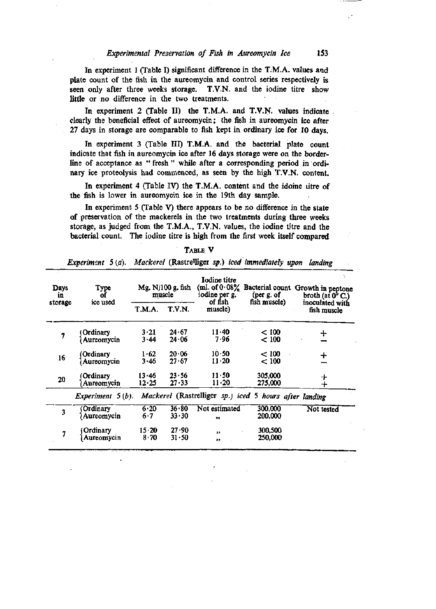### *Experimental Preservation of Fish in Aureomycin Ice* 153

In experiment 1 (Table I) significant difference in the T.M.A. values and plate count of the fish in the aureomycin and control series respectively is seen only after three weeks storage. T.V.N. and the iodine titre show little or no difference in the two treatments.

In experiment 2 (Table II) the T.M.A. and T.V.N. values indicate. clearly the beneficial effect of aureomycin; the fish in aureomycin ice after 27 days in storage are comparable to fish kept in ordinary ice for 10 days.

In experiment 3 (Table III) T.M.A. and the bacterial plate count indicate that fish in aureomycin ice after 16 days storage were on the borderline of acceptance as "fresh" while after a corresponding period in ordinary ice proteolysis had commenced, as seen by the high T.V.N, content.

In experiment 4 (Table IV) the T.M.A. content and the idoine litre of the fish is lower in aureomycin ice in the 19th day sample.

In experiment 5 (Table V) there appears to be no difference in the state of preservation of the mackerels in the two treatments during three weeks storage, as judged from the T.M.A., T.V.N. values, the iodine titre and the bacterial count. The iodine titre is high from the first week itself compared

| Days<br>in | Type<br>of          |               | Mg. N/100 g. fish<br>muscle | Iodine titre<br>(ml. of $0.08\%$ )<br>iodine per g.<br>of fish | (per $g$ , of                                          | Bacterial count Growth in peptone<br>broth (at $0^{\circ}$ C.) |
|------------|---------------------|---------------|-----------------------------|----------------------------------------------------------------|--------------------------------------------------------|----------------------------------------------------------------|
| storage    | ice used            | T.M.A.        | T.V.N.                      | muscle)                                                        | fish muscle)                                           | inoculated with<br>fish muscle                                 |
| 7          | Ordinary            | 3.21<br>3.44  | 24.67<br>24.06              | $11 - 40$<br>7.96                                              | < 100                                                  | ┿                                                              |
|            | Aureomycin          |               |                             |                                                                | < 100                                                  |                                                                |
|            | Ordinary)           | 1.62          | 20.06                       | 10.50                                                          | < 100                                                  |                                                                |
| 16         | Aureomycin          | 3.46          | 27.67                       | 11.20                                                          | < 100                                                  |                                                                |
| 20         | Ordinary            | 13.46         | 23.56                       | $11 - 50$                                                      | 305,000                                                |                                                                |
|            | Aureomycin          | 12.25         | $27 - 33$                   | $11 - 20$                                                      | 275,000                                                | キ                                                              |
|            | Experiment $5(b)$ . |               |                             |                                                                | Mackerel (Rastrelliger sp.) iced 5 hours after landing |                                                                |
|            | Ordinary            | 6.20          | 36.80                       | Not estimated                                                  | 300,000                                                | Not tested                                                     |
| 3          | Aureomycin          | 6.7           | 33.30                       | $\bullet$                                                      | 200,000                                                |                                                                |
| 7          | Ordinary            | $15 \cdot 20$ | 27.90                       | $\overline{\mathbf{v}}$                                        | 300,500                                                |                                                                |
|            | Aureomycin          | 8.70          | 31.50                       | $\rightarrow$                                                  | 250,000                                                |                                                                |

TABLE V

# *Experiment* 5 (a). *Mackerel* (Rastre'liger *sp.) iced immediately upon landing*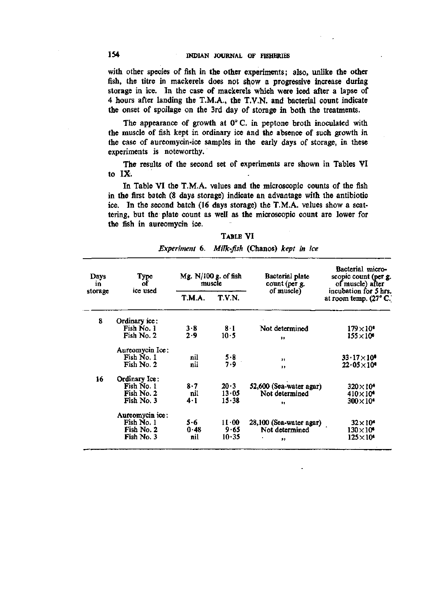with other species of fish in the other experiments; also, unlike the other fish, the titre in mackerels does not show a progressive increase during storage in ice. In the case of mackerels which were iced after a lapse of 4 hours after landing the T.M.A., the T.V.N, and bacterial count indicate the onset of spoilage on the 3rd day of storage in both the treatments.

The appearance of growth at 0° C. in peptone broth inoculated with the muscle of fish kept in ordinary ice and the absence of such growth in the case of aureomycin-ice samples in the early days of storage, in these experiments is noteworthy.

The results of the second set of experiments are shown in Tables VI to IX.

In Table VI the T.M.A. values and the microscopic counts of the fish in the first batch (8 days storage) indicate an advantage with the antibiotic ice. In the second batch (16 days storage) the T.M.A. values show a scattering, but the plate count as well as the microscopic count are lower for the fish in aureomycin ice.

| Type<br>Days<br>οf<br>in |                 | Mg. $N/100$ g. of fish<br>muscle |              | Bacterial plate<br>count (per g. | Bacterial micro-<br>scopic count (per g.<br>of muscle) after    |  |
|--------------------------|-----------------|----------------------------------|--------------|----------------------------------|-----------------------------------------------------------------|--|
| storage                  | ice used        | T.M.A.                           | T.V.N.       | of muscle)                       | incubation for 5 hrs.<br>at room temp. $(27^{\circ} \text{ C})$ |  |
| 8                        | Ordinary ice:   |                                  |              |                                  |                                                                 |  |
|                          | Fish No. 1      | 3.8                              | 8.1          | Not determined                   | $179\times10^{\circ}$                                           |  |
|                          | Fish No. 2      | 2.9                              | 10.5         | $\bullet\bullet$                 | $155\times10^6$                                                 |  |
|                          | Aureomycin Ice: |                                  |              |                                  |                                                                 |  |
|                          | Fish No. 1      | nil                              |              | 11                               | $33 \cdot 17 \times 10^6$                                       |  |
|                          | Fish No. 2      | nil                              | $5.8$<br>7.9 | $\bullet$                        | $22.05\times10$                                                 |  |
| 16                       | Ordinary Ice:   |                                  |              |                                  |                                                                 |  |
|                          | Fish No. 1      | 8.7                              | 20.3         | 52,600 (Sea-water agar)          | $320\times10^6$                                                 |  |
|                          | Fish No. 2      | nil                              | $13 - 05$    | Not determined                   | $410\times10^4$                                                 |  |
|                          | Fish No. 3      | $4-1$                            | 15.38        | ,,                               | $300\times10^6$                                                 |  |
|                          | Aureomycin ice: |                                  |              |                                  |                                                                 |  |
|                          | Fish No. 1      | 5.6                              | $11 - 00$    | 28,100 (Sea-water agar)          | $32\times10^6$                                                  |  |
|                          | Fish No. 2      | 0.48                             | 9.65         | Not determined                   | $130\times10^4$                                                 |  |
|                          | Fish No. 3      | nil                              | 10.35        | ,,                               | $125\times10^4$                                                 |  |

| Experiment 6. Milk-fish (Chanos) kept in ice |  |  |  |  |  |
|----------------------------------------------|--|--|--|--|--|
|----------------------------------------------|--|--|--|--|--|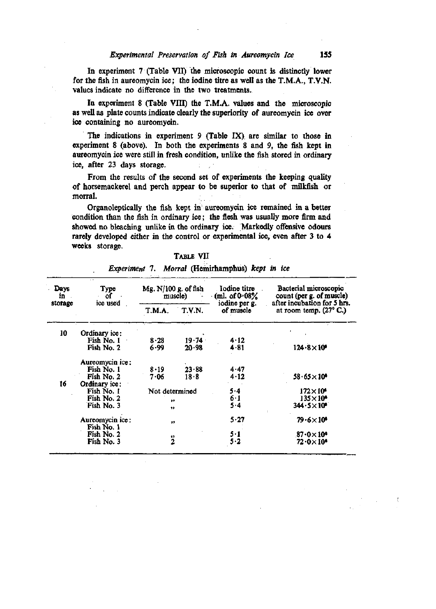In experiment 7 (Table VII) the microscopic count is distinctly lower for the fish in aureomycin ice; the iodine titre as well as the T.M.A., T.V.N, values indicate no difference in the two treatments.

In experiment 8 (Table VIII) the T.M.A. values and the microscopic as well as plate counts indicate clearly the superiority of aureomycin ice over ice containing no aureomycin.

The indications in experiment 9 (Table IX) are similar to those in experiment 8 (above). In both the experiments 8 and 9, the fish kept in aureomycin ice were still in fresh condition, unlike the fish stored in ordinary ice, after 23 days storage.

From the results of the second set of experiments the keeping quality of horsemackerel and perch appear to be superior to that of milkfish or morral.

Organoleptically the fish kept in aureomycin ice remained in a better condition than the fish in ordinary ice; the flesh was usually more firm and showed no bleaching unlike in the ordinary ice. Markedly offensive odours rarely developed either in the control or experimental ice, even after 3 to 4 weeks storage.

TABLE VII

| <b>Days</b><br>in<br>storage | Type<br>οf                    | Mg. $N/100$ g. of fish | muscle)            | Iodine titre<br>(ml. of $0.08\%$ | Bacterial microscopic<br>count (per g. of muscle)     |  |
|------------------------------|-------------------------------|------------------------|--------------------|----------------------------------|-------------------------------------------------------|--|
|                              | ice used                      | T.M.A.                 | T.V.N.             | iodine per g.<br>of muscle       | after incubation for 5 hrs.<br>at room temp. (27° C.) |  |
| 10                           | Ordinary ice:                 |                        |                    |                                  |                                                       |  |
|                              | Fish No. 1<br>Fish No. 2      | 8.28<br>6.99           | $19 - 74$<br>20.98 | 4.12<br>$4 - 81$                 | $124.8 \times 10^6$                                   |  |
|                              | Aureomycin ice:               |                        |                    |                                  |                                                       |  |
|                              | Fish No. 1<br>Fish No. 2      | 8.19<br>7.06           | 23.88<br>18.8      | $4 - 47$<br>$4 - 12$             | $58.65 \times 10^4$                                   |  |
| 16                           | Ordinary ice:                 |                        |                    |                                  |                                                       |  |
|                              | Fish No. 1                    | Not determined         |                    | 5.4                              | $172\times10^6$                                       |  |
|                              | Fish No. 2                    | $^{\bullet\bullet}$    |                    | 6.1                              | $135\times10^4$                                       |  |
|                              | Fish No. 3                    | $\bullet$              |                    | 5.4                              | $344.5\times10^4$                                     |  |
|                              | Aureomycin ice:<br>Fish No. 1 | $\bullet\bullet$       |                    | 5.27                             | $79.6\times10^6$                                      |  |
|                              | Fish No. 2                    |                        |                    | 5.1                              | $87.0\times10^4$                                      |  |
|                              | Fish No. 3                    | $\ddot{2}$             |                    | 5.2                              | $72\cdot$ 0 $\times$ 10 $^{\circ}$                    |  |

*Experiment* 7. *Morral* (Hemirhamphus) *kept in ice*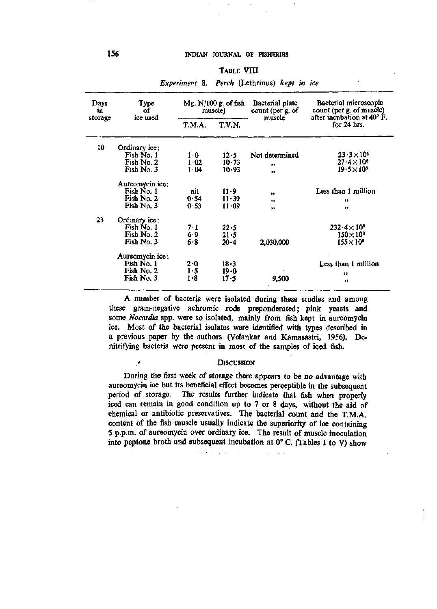### TABLE VIII

| Days<br><b>Type</b><br>оf<br>in<br>ice used<br>storage | Mg. $N/100$ g. of fish<br>muscle) |               | Bacterial plate<br>count (per g. of<br>muscle | Bacterial microscopic<br>count (per g. of muscle)<br>after incubation at 40° F. |                      |
|--------------------------------------------------------|-----------------------------------|---------------|-----------------------------------------------|---------------------------------------------------------------------------------|----------------------|
|                                                        |                                   | <b>T.M.A.</b> | T.V.N.                                        |                                                                                 | for $24$ hrs.        |
| 10                                                     | Ordinary ice:                     |               |                                               |                                                                                 |                      |
|                                                        | Fish No. 1                        | 1·0           | 12.5                                          | Not determined                                                                  | $23.3 \times 10^{6}$ |
|                                                        | Fish No. 2                        | 1.02          | 10.73                                         | $\bullet$                                                                       | $27.4\times10^{6}$   |
|                                                        | Fish No. 3                        | 1.04          | 10.93                                         | $\bullet\bullet$                                                                | $19.5\times10^{6}$   |
|                                                        | Aureomycin ice:                   |               |                                               |                                                                                 |                      |
|                                                        | Fish No. 1                        | nil           | 11.9                                          | $\bullet\bullet$                                                                | Less than I million  |
|                                                        | Fish No. 2                        | 0.54          | $11 - 39$                                     | $^{\tiny\textsf{++}}$                                                           | 11                   |
|                                                        | Fish No. 3                        | $0 - 53$      | 11-09                                         | $^{\bullet\bullet}$                                                             | ,,                   |
| 23                                                     | Ordinary ice:                     |               |                                               |                                                                                 |                      |
|                                                        | Fish No. 1                        | 7.I           | 22.5                                          |                                                                                 | $232.4\times10^6$    |
|                                                        | Fish No. 2                        | 6.9           | $21 - 5$                                      |                                                                                 | $150\times10^6$      |
|                                                        | Fish No. 3                        | 6.8           | $20 - 4$                                      | 2,030,000                                                                       | $155 \times 10^6$    |
|                                                        | Aureomycin ice:                   |               |                                               |                                                                                 |                      |
|                                                        | Fish No. 1                        | 2.0           | $18 - 3$                                      |                                                                                 | Less than 1 million  |
|                                                        | Fish No. 2                        | 1.5           | 19.0                                          |                                                                                 | ,,                   |
|                                                        | Fish No. 3                        | 1.8           | 17.5                                          | 9,500                                                                           | ,,                   |
|                                                        |                                   |               |                                               |                                                                                 |                      |

#### *Experiment* 8. *Perch* (Lethrinus) *kept in ice*

A number of bacteria were isolated during these studies and among these gram-negative achromic rods preponderated; pink yeasts and some *Nocardia* spp. were so isolated, mainly from fish kept in aureomycin ice. Most of the bacterial isolates were identified with types described in a previous paper by the authors (Velankar and Kamasastri, 1956). Denitrifying bacteria were present in most of the samples of iced fish.

### • DISCUSSION

During the first week of storage there appears to be no advantage with aureomycin ice but its beneficial effect becomes perceptible in the subsequent period of storage. The results further indicate that fish when properly iced can remain in good condition up to 7 or 8 days, without the aid of chemical or antibiotic preservatives. The bacterial count and the T.M.A. content of the fish muscle usually indicate the superiority of ice containing 5 p.p.m. of aureomycin over ordinary ice. The result of muscle inoculation into peptone broth and subsequent incubation at  $0^{\circ}$  C. (Tables I to V) show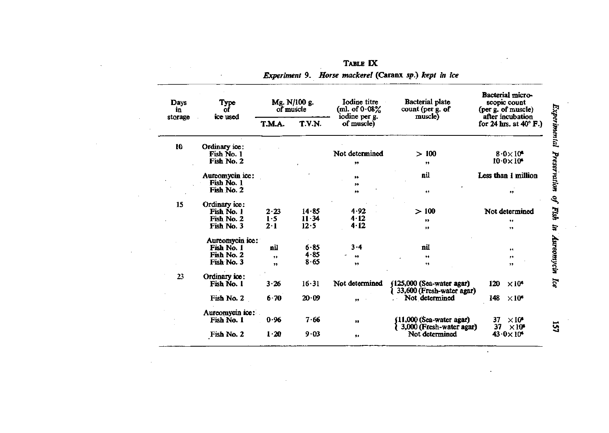| Type<br>Days<br>of<br>in |                             |                      |           | Mg. N/100 g.<br>of muscle | Iodine titre<br>(ml. of $0.08\%$<br>iodine per g. | Bacterial plate<br>count (per g. of<br>muscle) | Bacterial micro-<br>scopic count<br>(per g. of muscle)<br>after incubation |
|--------------------------|-----------------------------|----------------------|-----------|---------------------------|---------------------------------------------------|------------------------------------------------|----------------------------------------------------------------------------|
| storage                  | ice used                    | T.M.A.               | T.V.N.    | of muscle)                |                                                   | for 24 hrs. at $40^{\circ}$ F.)                |                                                                            |
| 10                       | Ordinary ice:               |                      |           |                           |                                                   |                                                |                                                                            |
|                          | Fish No. 1                  |                      |           | Not determined            | >100                                              | $8.0\times10^8$                                |                                                                            |
|                          | Fish No. 2                  |                      |           | ,,                        | $\bullet$                                         | $10.0 \times 10^4$                             |                                                                            |
|                          | Aureomycin ice:             |                      |           | ,,                        | nil                                               | Less than 1 million                            |                                                                            |
|                          | Fish No. 1                  |                      |           | $, \,$                    |                                                   |                                                |                                                                            |
|                          | Fish No. 2                  |                      |           | ,,                        | $\bullet$                                         | $\bullet$                                      |                                                                            |
| 15                       | Ordinary ice:               |                      |           |                           |                                                   |                                                |                                                                            |
|                          | Fish No. 1                  | 2.23                 | 14.85     | 4.92                      | >100                                              | Not determined                                 |                                                                            |
|                          | Fish No. 2                  | $1-5$                | $11 - 34$ | 4.12                      | ,,                                                | ,,                                             |                                                                            |
|                          | Fish No. 3                  | $2 - 1$              | 12.5      | $4 - 12$                  | $\bullet$                                         | $^{\ast}$                                      |                                                                            |
|                          | Aureomycin ice:             |                      |           |                           |                                                   |                                                |                                                                            |
|                          | Fish No. 1                  | nil                  | $6 - 85$  | $3 - 4$                   | nil                                               | ,,                                             |                                                                            |
|                          | Fish No. 2                  | ${}^{\tiny\text{+}}$ | $4 - 85$  | $^{\bullet\bullet}$       | ,,                                                | ,,                                             |                                                                            |
|                          | Fish No. 3                  | $\bullet$            | 8.65      | ,,                        | ,,                                                | ,,                                             |                                                                            |
| 23                       |                             |                      |           |                           |                                                   |                                                |                                                                            |
|                          | Ordinary ice:<br>Fish No. 1 | 3.26                 | $16 - 31$ | Not determined            | (125,000 (Sea-water agar)                         | 120<br>$\times 10^6$                           |                                                                            |
|                          | Fish No. 2                  | $6 - 70$             | 20.09     | ${}^{*+}$                 | 33,600 (Fresh-water agar)<br>Not determined       | 148<br>$\times 10^6$                           |                                                                            |
|                          | Aureomycin ice:             |                      |           |                           |                                                   |                                                |                                                                            |
|                          | Fish No. 1                  | 0.96                 | 7.66      | $\bullet$                 | (11,000 (Sea-water agar)                          | $\times 10^{\circ}$<br>37                      |                                                                            |
|                          | Fish No. 2                  | $1-20$               | 9.03      | 99                        | 3,000 (Fresh-water agar)<br>Not determined        | 37<br>$\times10^6$<br>$43.0 \times 10^4$       |                                                                            |

 $\sim$ 

 $\mathcal{L}$ 

TABLE IX *Experiment* 9. *Horse mackerel* (Caranx sp.) *kept in ice* 

157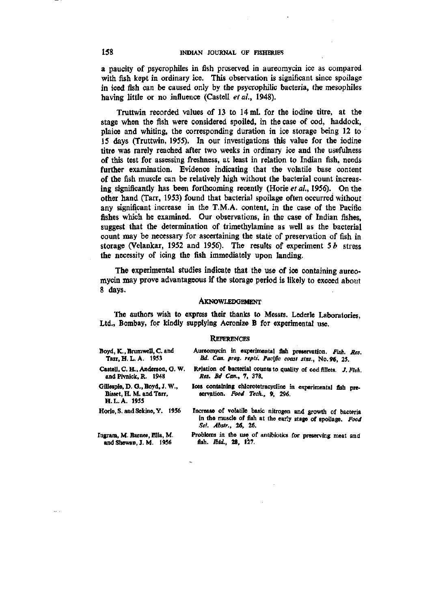a paucity of psycrophiles in fish preserved in aureomycin ice as compared with fish kept in ordinary ice. This observation is significant since spoilage in iced fish can be caused only by the psycrophilic bacteria, the mesophiles having little or no influence (Castell et al., 1948).

Truttwin recorded values of 13 to 14 ml. for the iodine titre, at the stage when the fish were considered spoiled, in the case of cod, haddock, plaice and whiting, the corresponding duration in ice storage being 12 to 15 days (Truttwin, 1955). In our investigations this value for the iodine titre was rarely reached after two weeks in ordinary ice and the usefulness of this test for assessing freshness, at least in relation to Indian fish, needs further examination. Evidence indicating that the volatile base content of the fish muscle can be relatively high without the bacterial count increasing significantly has been forthcoming recently (Horie et al., 1956). On the other hand (Tarr, 1953) found that bacterial spoilage often occurred without any significant increase in the T.M.A. content, in the case of the Pacific fishes which he examined. Our observations, in the case of Indian fishes, suggest that the determination of trimethylamine as well as the bacterial count may be necessary for ascertaining the state of preservation of fish in storage (Velankar, 1952 and 1956). The results of experiment  $5b$  stress the necessity of icing the fish immediately upon landing.

The experimental studies indicate that the use of ice containing aureomycin may prove advantageous if the storage period is likely to exceed about 8 days.

#### AKNOWLEDGEMENT

The authors wish to express their thanks to Messrs. Lederle Laboratories, Ltd., Bombay, for kindly supplying Acronize B for experimental use.

#### **REFERENCES**

| Boyd, K., Brumwell, C. and                                               | Aureomycin in experimental fish preservation. Fish. Res.                                                                                         |
|--------------------------------------------------------------------------|--------------------------------------------------------------------------------------------------------------------------------------------------|
| Tarr, H. L. A. 1953                                                      | Bd. Can. prog. repts. Pacific coast stns., No. 96, 25.                                                                                           |
| Castell, C. H., Anderson, G. W.                                          | Relation of bacterial counts to quality of cod fillets. J. Fish.                                                                                 |
| and Pivnick, R. 1948                                                     | Res. Bd Can., 7, 378.                                                                                                                            |
| Gillespie, D. G., Boyd, J. W.,<br>Bisset, H. M. and Tarr.<br>H.L.A. 1955 | Ices containing chlorotetracycline in experimental fish pre-<br>servation. Food Tech., 9, 296.                                                   |
| Horie, S. and Sekine, Y. 1956                                            | Increase of volatile basic nitrogen and growth of bacteria<br>in the muscle of fish at the early stage of spoilage. Food<br>Sci. Abstr., 26, 26. |
| Ingram, M. Barnes, Ella, M.                                              | Problems in the use of antibiotics for preserving meat and                                                                                       |
| and Shewan, J. M. 1956                                                   | fish. Ibid., 28, 127.                                                                                                                            |